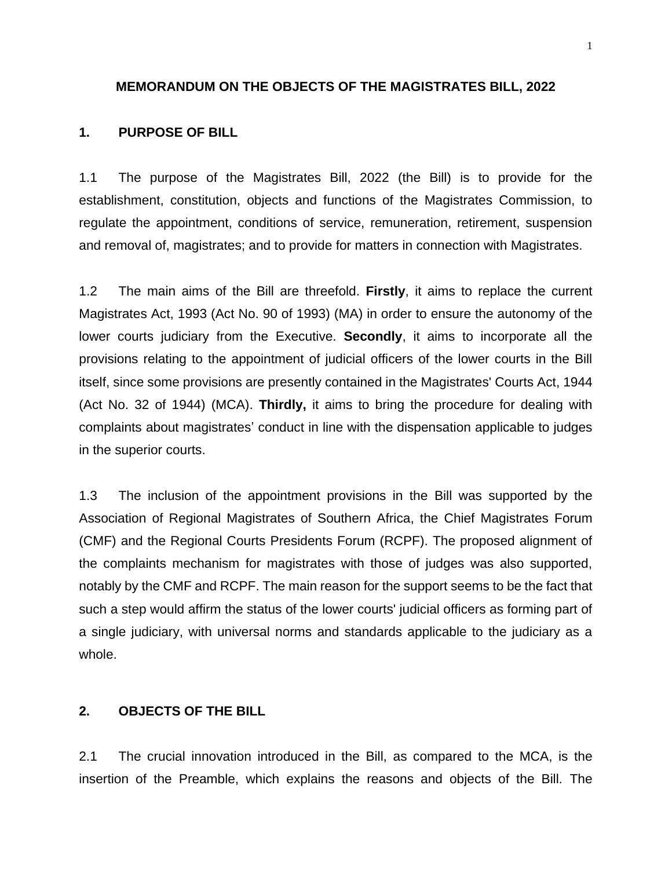#### **MEMORANDUM ON THE OBJECTS OF THE MAGISTRATES BILL, 2022**

#### **1. PURPOSE OF BILL**

1.1 The purpose of the Magistrates Bill, 2022 (the Bill) is to provide for the establishment, constitution, objects and functions of the Magistrates Commission, to regulate the appointment, conditions of service, remuneration, retirement, suspension and removal of, magistrates; and to provide for matters in connection with Magistrates.

1.2 The main aims of the Bill are threefold. **Firstly**, it aims to replace the current Magistrates Act, 1993 (Act No. 90 of 1993) (MA) in order to ensure the autonomy of the lower courts judiciary from the Executive. **Secondly**, it aims to incorporate all the provisions relating to the appointment of judicial officers of the lower courts in the Bill itself, since some provisions are presently contained in the Magistrates' Courts Act, 1944 (Act No. 32 of 1944) (MCA). **Thirdly,** it aims to bring the procedure for dealing with complaints about magistrates' conduct in line with the dispensation applicable to judges in the superior courts.

1.3 The inclusion of the appointment provisions in the Bill was supported by the Association of Regional Magistrates of Southern Africa, the Chief Magistrates Forum (CMF) and the Regional Courts Presidents Forum (RCPF). The proposed alignment of the complaints mechanism for magistrates with those of judges was also supported, notably by the CMF and RCPF. The main reason for the support seems to be the fact that such a step would affirm the status of the lower courts' judicial officers as forming part of a single judiciary, with universal norms and standards applicable to the judiciary as a whole.

#### **2. OBJECTS OF THE BILL**

2.1 The crucial innovation introduced in the Bill, as compared to the MCA, is the insertion of the Preamble, which explains the reasons and objects of the Bill. The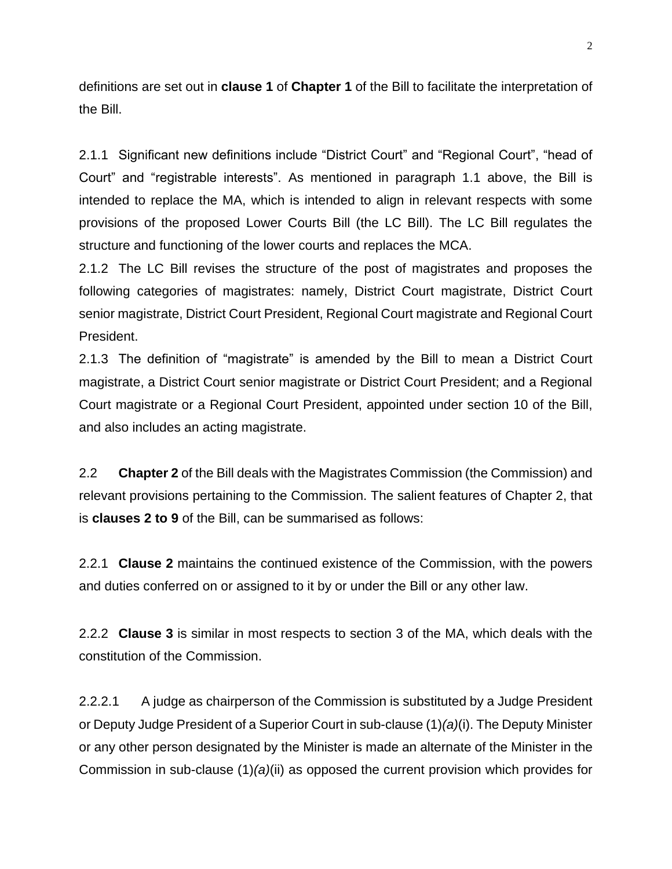definitions are set out in **clause 1** of **Chapter 1** of the Bill to facilitate the interpretation of the Bill.

2.1.1 Significant new definitions include "District Court" and "Regional Court", "head of Court" and "registrable interests". As mentioned in paragraph 1.1 above, the Bill is intended to replace the MA, which is intended to align in relevant respects with some provisions of the proposed Lower Courts Bill (the LC Bill). The LC Bill regulates the structure and functioning of the lower courts and replaces the MCA.

2.1.2 The LC Bill revises the structure of the post of magistrates and proposes the following categories of magistrates: namely, District Court magistrate, District Court senior magistrate, District Court President, Regional Court magistrate and Regional Court President.

2.1.3 The definition of "magistrate" is amended by the Bill to mean a District Court magistrate, a District Court senior magistrate or District Court President; and a Regional Court magistrate or a Regional Court President, appointed under section 10 of the Bill, and also includes an acting magistrate.

2.2 **Chapter 2** of the Bill deals with the Magistrates Commission (the Commission) and relevant provisions pertaining to the Commission. The salient features of Chapter 2, that is **clauses 2 to 9** of the Bill, can be summarised as follows:

2.2.1 **Clause 2** maintains the continued existence of the Commission, with the powers and duties conferred on or assigned to it by or under the Bill or any other law.

2.2.2 **Clause 3** is similar in most respects to section 3 of the MA, which deals with the constitution of the Commission.

2.2.2.1 A judge as chairperson of the Commission is substituted by a Judge President or Deputy Judge President of a Superior Court in sub-clause (1)*(a)*(i). The Deputy Minister or any other person designated by the Minister is made an alternate of the Minister in the Commission in sub-clause (1)*(a)*(ii) as opposed the current provision which provides for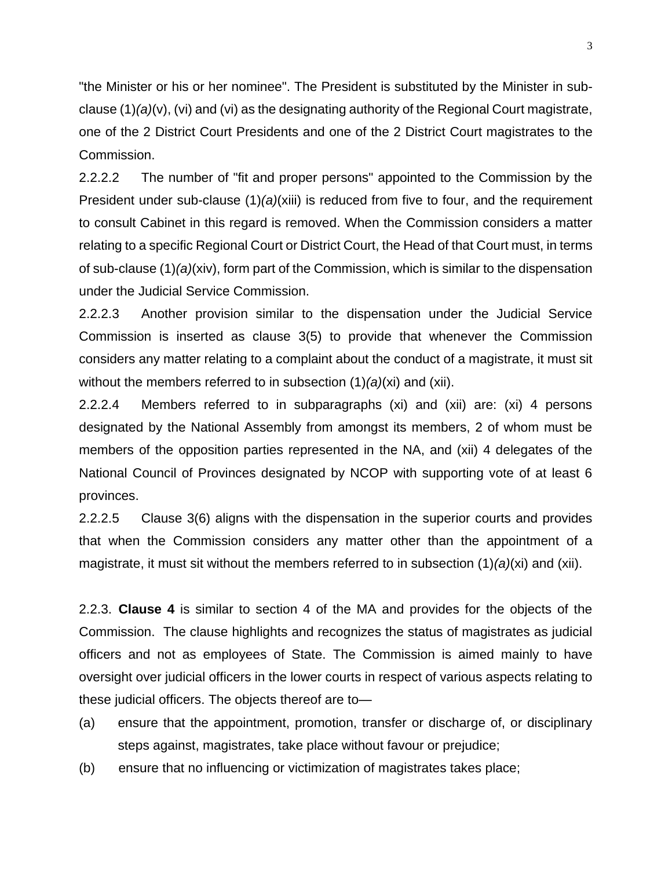"the Minister or his or her nominee". The President is substituted by the Minister in subclause (1)*(a)*(v), (vi) and (vi) as the designating authority of the Regional Court magistrate, one of the 2 District Court Presidents and one of the 2 District Court magistrates to the Commission.

2.2.2.2 The number of "fit and proper persons" appointed to the Commission by the President under sub-clause (1)*(a)*(xiii) is reduced from five to four, and the requirement to consult Cabinet in this regard is removed. When the Commission considers a matter relating to a specific Regional Court or District Court, the Head of that Court must, in terms of sub-clause (1)*(a)*(xiv), form part of the Commission, which is similar to the dispensation under the Judicial Service Commission.

2.2.2.3 Another provision similar to the dispensation under the Judicial Service Commission is inserted as clause 3(5) to provide that whenever the Commission considers any matter relating to a complaint about the conduct of a magistrate, it must sit without the members referred to in subsection (1)*(a)*(xi) and (xii).

2.2.2.4 Members referred to in subparagraphs (xi) and (xii) are: (xi) 4 persons designated by the National Assembly from amongst its members, 2 of whom must be members of the opposition parties represented in the NA, and (xii) 4 delegates of the National Council of Provinces designated by NCOP with supporting vote of at least 6 provinces.

2.2.2.5 Clause 3(6) aligns with the dispensation in the superior courts and provides that when the Commission considers any matter other than the appointment of a magistrate, it must sit without the members referred to in subsection (1)*(a)*(xi) and (xii).

2.2.3. **Clause 4** is similar to section 4 of the MA and provides for the objects of the Commission. The clause highlights and recognizes the status of magistrates as judicial officers and not as employees of State. The Commission is aimed mainly to have oversight over judicial officers in the lower courts in respect of various aspects relating to these judicial officers. The objects thereof are to—

- (a) ensure that the appointment, promotion, transfer or discharge of, or disciplinary steps against, magistrates, take place without favour or prejudice;
- (b) ensure that no influencing or victimization of magistrates takes place;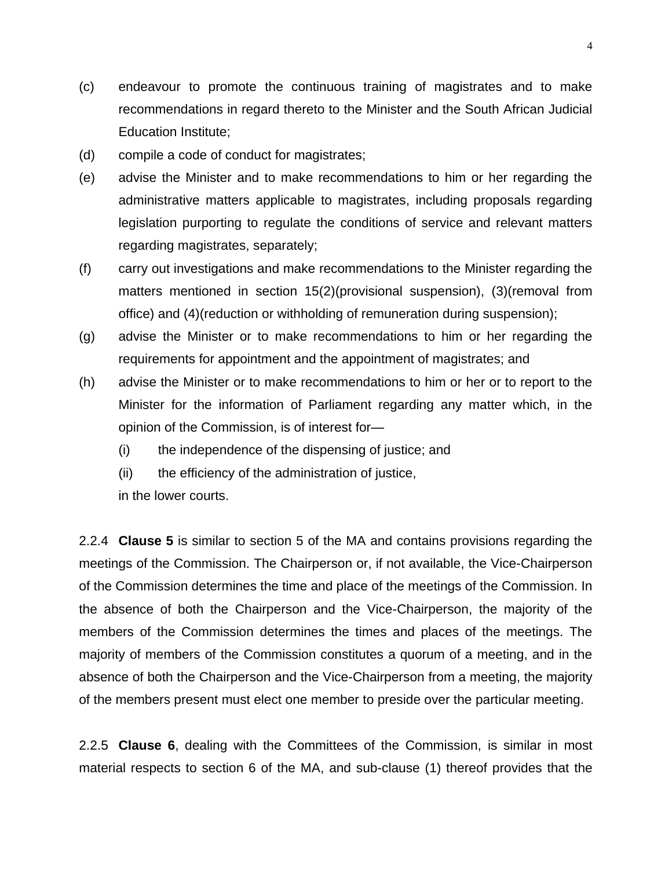- (c) endeavour to promote the continuous training of magistrates and to make recommendations in regard thereto to the Minister and the South African Judicial Education Institute;
- (d) compile a code of conduct for magistrates;
- (e) advise the Minister and to make recommendations to him or her regarding the administrative matters applicable to magistrates, including proposals regarding legislation purporting to regulate the conditions of service and relevant matters regarding magistrates, separately;
- (f) carry out investigations and make recommendations to the Minister regarding the matters mentioned in section 15(2)(provisional suspension), (3)(removal from office) and (4)(reduction or withholding of remuneration during suspension);
- (g) advise the Minister or to make recommendations to him or her regarding the requirements for appointment and the appointment of magistrates; and
- (h) advise the Minister or to make recommendations to him or her or to report to the Minister for the information of Parliament regarding any matter which, in the opinion of the Commission, is of interest for—
	- (i) the independence of the dispensing of justice; and
	- (ii) the efficiency of the administration of justice,

in the lower courts.

2.2.4 **Clause 5** is similar to section 5 of the MA and contains provisions regarding the meetings of the Commission. The Chairperson or, if not available, the Vice-Chairperson of the Commission determines the time and place of the meetings of the Commission. In the absence of both the Chairperson and the Vice-Chairperson, the majority of the members of the Commission determines the times and places of the meetings. The majority of members of the Commission constitutes a quorum of a meeting, and in the absence of both the Chairperson and the Vice-Chairperson from a meeting, the majority of the members present must elect one member to preside over the particular meeting.

2.2.5 **Clause 6**, dealing with the Committees of the Commission, is similar in most material respects to section 6 of the MA, and sub-clause (1) thereof provides that the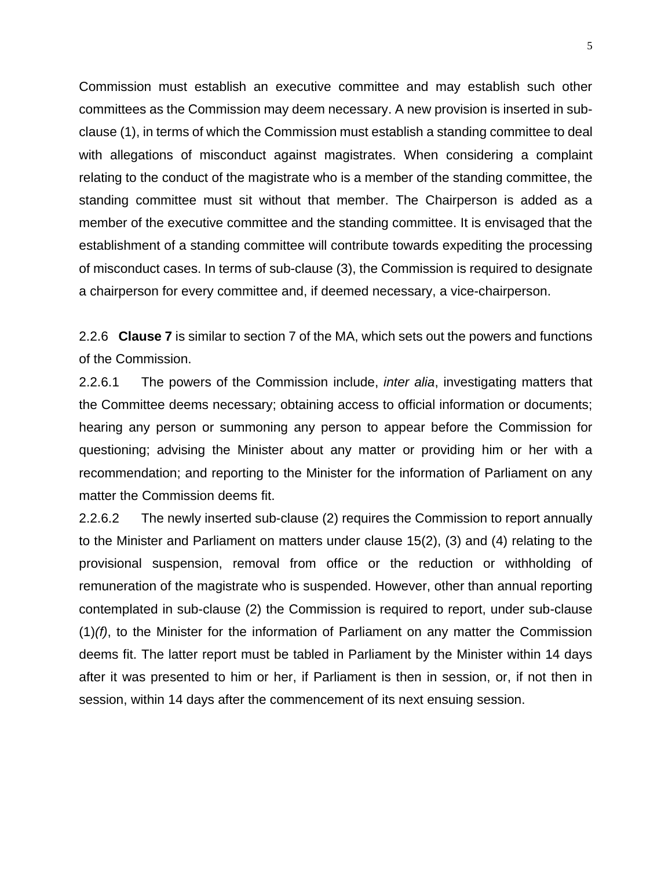Commission must establish an executive committee and may establish such other committees as the Commission may deem necessary. A new provision is inserted in subclause (1), in terms of which the Commission must establish a standing committee to deal with allegations of misconduct against magistrates. When considering a complaint relating to the conduct of the magistrate who is a member of the standing committee, the standing committee must sit without that member. The Chairperson is added as a member of the executive committee and the standing committee. It is envisaged that the establishment of a standing committee will contribute towards expediting the processing of misconduct cases. In terms of sub-clause (3), the Commission is required to designate a chairperson for every committee and, if deemed necessary, a vice-chairperson.

2.2.6 **Clause 7** is similar to section 7 of the MA, which sets out the powers and functions of the Commission.

2.2.6.1 The powers of the Commission include, *inter alia*, investigating matters that the Committee deems necessary; obtaining access to official information or documents; hearing any person or summoning any person to appear before the Commission for questioning; advising the Minister about any matter or providing him or her with a recommendation; and reporting to the Minister for the information of Parliament on any matter the Commission deems fit.

2.2.6.2 The newly inserted sub-clause (2) requires the Commission to report annually to the Minister and Parliament on matters under clause 15(2), (3) and (4) relating to the provisional suspension, removal from office or the reduction or withholding of remuneration of the magistrate who is suspended. However, other than annual reporting contemplated in sub-clause (2) the Commission is required to report, under sub-clause (1)*(f)*, to the Minister for the information of Parliament on any matter the Commission deems fit. The latter report must be tabled in Parliament by the Minister within 14 days after it was presented to him or her, if Parliament is then in session, or, if not then in session, within 14 days after the commencement of its next ensuing session.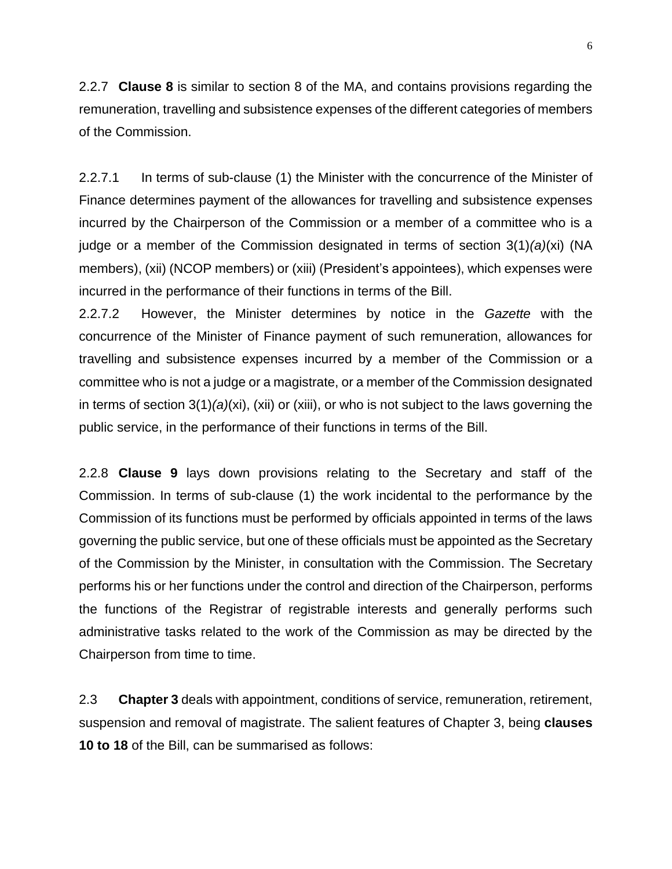2.2.7 **Clause 8** is similar to section 8 of the MA, and contains provisions regarding the remuneration, travelling and subsistence expenses of the different categories of members of the Commission.

2.2.7.1 In terms of sub-clause (1) the Minister with the concurrence of the Minister of Finance determines payment of the allowances for travelling and subsistence expenses incurred by the Chairperson of the Commission or a member of a committee who is a judge or a member of the Commission designated in terms of section 3(1)*(a)*(xi) (NA members), (xii) (NCOP members) or (xiii) (President's appointees), which expenses were incurred in the performance of their functions in terms of the Bill.

2.2.7.2 However, the Minister determines by notice in the *Gazette* with the concurrence of the Minister of Finance payment of such remuneration, allowances for travelling and subsistence expenses incurred by a member of the Commission or a committee who is not a judge or a magistrate, or a member of the Commission designated in terms of section 3(1)*(a)*(xi), (xii) or (xiii), or who is not subject to the laws governing the public service, in the performance of their functions in terms of the Bill.

2.2.8 **Clause 9** lays down provisions relating to the Secretary and staff of the Commission. In terms of sub-clause (1) the work incidental to the performance by the Commission of its functions must be performed by officials appointed in terms of the laws governing the public service, but one of these officials must be appointed as the Secretary of the Commission by the Minister, in consultation with the Commission. The Secretary performs his or her functions under the control and direction of the Chairperson, performs the functions of the Registrar of registrable interests and generally performs such administrative tasks related to the work of the Commission as may be directed by the Chairperson from time to time.

2.3 **Chapter 3** deals with appointment, conditions of service, remuneration, retirement, suspension and removal of magistrate. The salient features of Chapter 3, being **clauses 10 to 18** of the Bill, can be summarised as follows: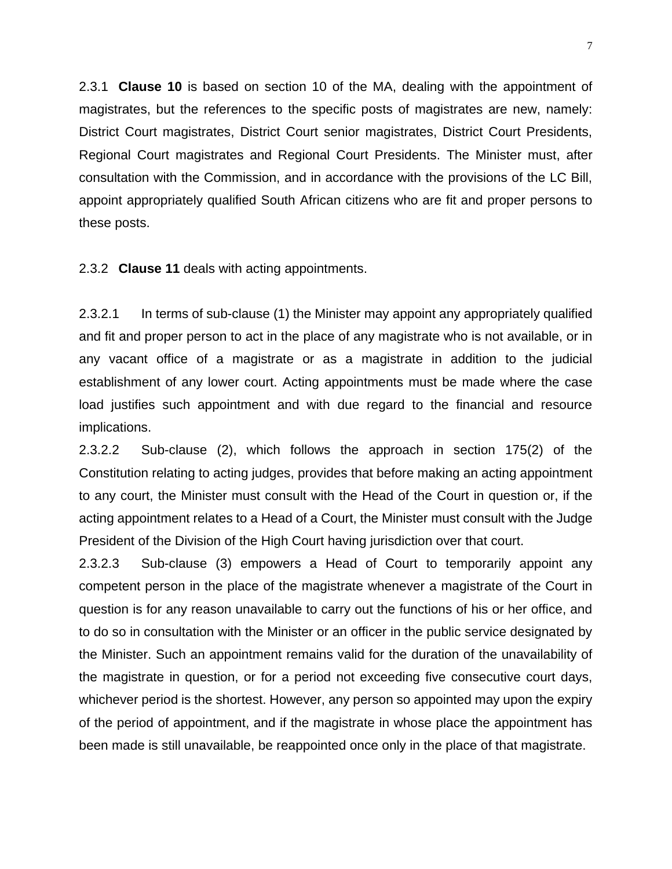2.3.1 **Clause 10** is based on section 10 of the MA, dealing with the appointment of magistrates, but the references to the specific posts of magistrates are new, namely: District Court magistrates, District Court senior magistrates, District Court Presidents, Regional Court magistrates and Regional Court Presidents. The Minister must, after consultation with the Commission, and in accordance with the provisions of the LC Bill, appoint appropriately qualified South African citizens who are fit and proper persons to these posts.

2.3.2 **Clause 11** deals with acting appointments.

2.3.2.1 In terms of sub-clause (1) the Minister may appoint any appropriately qualified and fit and proper person to act in the place of any magistrate who is not available, or in any vacant office of a magistrate or as a magistrate in addition to the judicial establishment of any lower court. Acting appointments must be made where the case load justifies such appointment and with due regard to the financial and resource implications.

2.3.2.2 Sub-clause (2), which follows the approach in section 175(2) of the Constitution relating to acting judges, provides that before making an acting appointment to any court, the Minister must consult with the Head of the Court in question or, if the acting appointment relates to a Head of a Court, the Minister must consult with the Judge President of the Division of the High Court having jurisdiction over that court.

2.3.2.3 Sub-clause (3) empowers a Head of Court to temporarily appoint any competent person in the place of the magistrate whenever a magistrate of the Court in question is for any reason unavailable to carry out the functions of his or her office, and to do so in consultation with the Minister or an officer in the public service designated by the Minister. Such an appointment remains valid for the duration of the unavailability of the magistrate in question, or for a period not exceeding five consecutive court days, whichever period is the shortest. However, any person so appointed may upon the expiry of the period of appointment, and if the magistrate in whose place the appointment has been made is still unavailable, be reappointed once only in the place of that magistrate.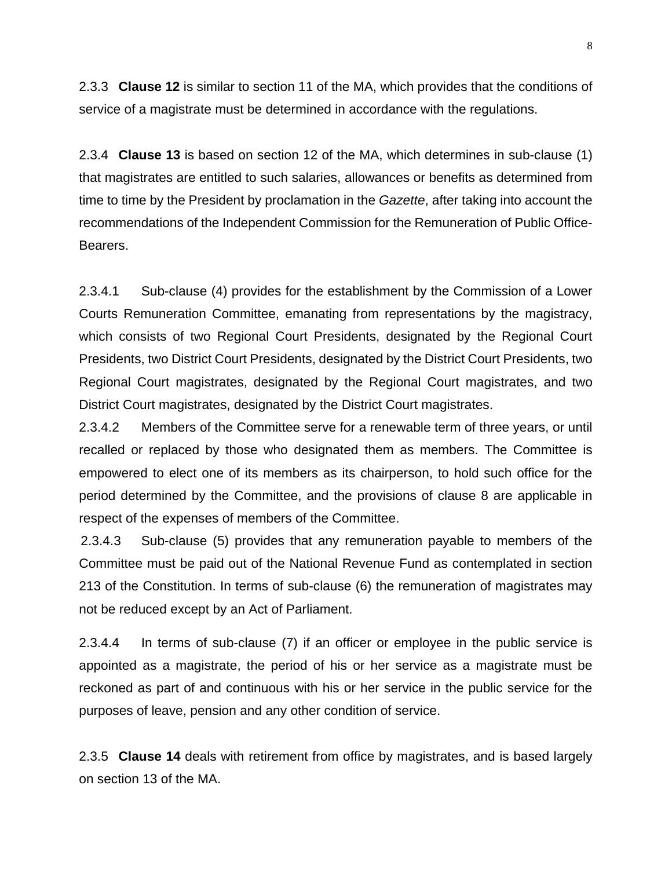2.3.3 **Clause 12** is similar to section 11 of the MA, which provides that the conditions of service of a magistrate must be determined in accordance with the regulations.

2.3.4 **Clause 13** is based on section 12 of the MA, which determines in sub-clause (1) that magistrates are entitled to such salaries, allowances or benefits as determined from time to time by the President by proclamation in the *Gazette*, after taking into account the recommendations of the Independent Commission for the Remuneration of Public Office-Bearers.

2.3.4.1 Sub-clause (4) provides for the establishment by the Commission of a Lower Courts Remuneration Committee, emanating from representations by the magistracy, which consists of two Regional Court Presidents, designated by the Regional Court Presidents, two District Court Presidents, designated by the District Court Presidents, two Regional Court magistrates, designated by the Regional Court magistrates, and two District Court magistrates, designated by the District Court magistrates.

2.3.4.2 Members of the Committee serve for a renewable term of three years, or until recalled or replaced by those who designated them as members. The Committee is empowered to elect one of its members as its chairperson, to hold such office for the period determined by the Committee, and the provisions of clause 8 are applicable in respect of the expenses of members of the Committee.

2.3.4.3 Sub-clause (5) provides that any remuneration payable to members of the Committee must be paid out of the National Revenue Fund as contemplated in section 213 of the Constitution. In terms of sub-clause (6) the remuneration of magistrates may not be reduced except by an Act of Parliament.

2.3.4.4 In terms of sub-clause (7) if an officer or employee in the public service is appointed as a magistrate, the period of his or her service as a magistrate must be reckoned as part of and continuous with his or her service in the public service for the purposes of leave, pension and any other condition of service.

2.3.5 **Clause 14** deals with retirement from office by magistrates, and is based largely on section 13 of the MA.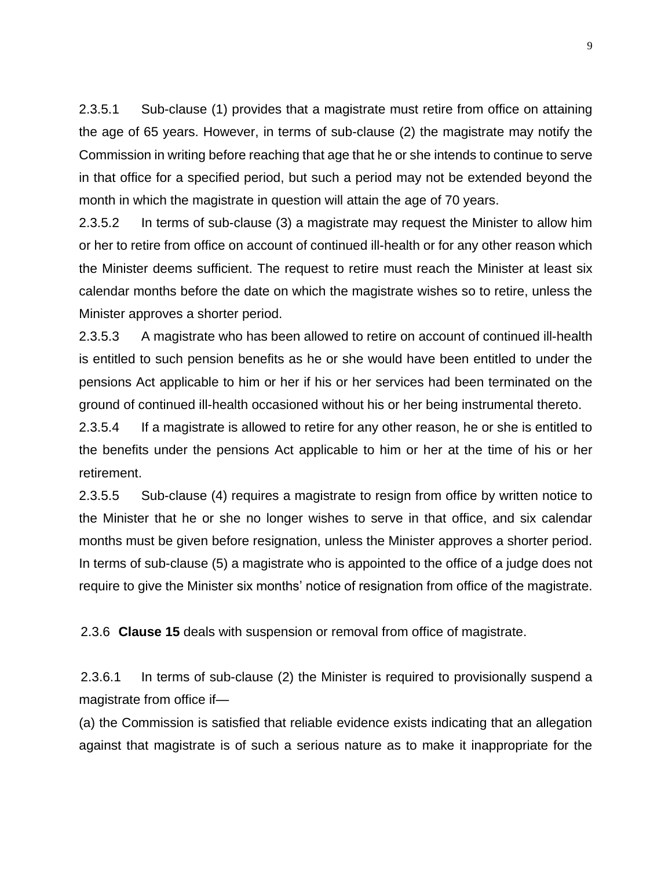2.3.5.1 Sub-clause (1) provides that a magistrate must retire from office on attaining the age of 65 years. However, in terms of sub-clause (2) the magistrate may notify the Commission in writing before reaching that age that he or she intends to continue to serve in that office for a specified period, but such a period may not be extended beyond the month in which the magistrate in question will attain the age of 70 years.

2.3.5.2 In terms of sub-clause (3) a magistrate may request the Minister to allow him or her to retire from office on account of continued ill-health or for any other reason which the Minister deems sufficient. The request to retire must reach the Minister at least six calendar months before the date on which the magistrate wishes so to retire, unless the Minister approves a shorter period.

2.3.5.3 A magistrate who has been allowed to retire on account of continued ill-health is entitled to such pension benefits as he or she would have been entitled to under the pensions Act applicable to him or her if his or her services had been terminated on the ground of continued ill-health occasioned without his or her being instrumental thereto.

2.3.5.4 If a magistrate is allowed to retire for any other reason, he or she is entitled to the benefits under the pensions Act applicable to him or her at the time of his or her retirement.

2.3.5.5 Sub-clause (4) requires a magistrate to resign from office by written notice to the Minister that he or she no longer wishes to serve in that office, and six calendar months must be given before resignation, unless the Minister approves a shorter period. In terms of sub-clause (5) a magistrate who is appointed to the office of a judge does not require to give the Minister six months' notice of resignation from office of the magistrate.

2.3.6 **Clause 15** deals with suspension or removal from office of magistrate.

2.3.6.1 In terms of sub-clause (2) the Minister is required to provisionally suspend a magistrate from office if—

(a) the Commission is satisfied that reliable evidence exists indicating that an allegation against that magistrate is of such a serious nature as to make it inappropriate for the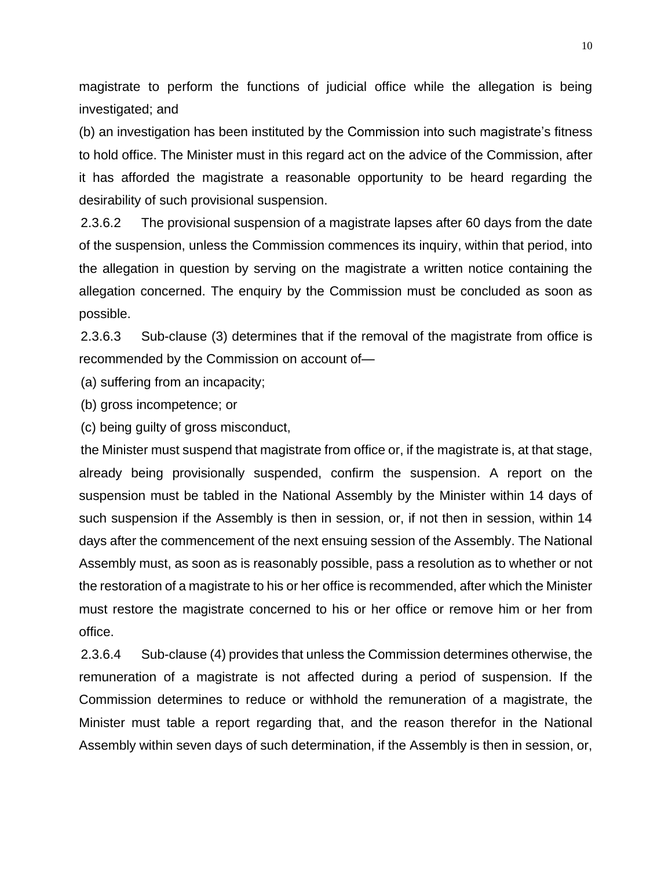magistrate to perform the functions of judicial office while the allegation is being investigated; and

(b) an investigation has been instituted by the Commission into such magistrate's fitness to hold office. The Minister must in this regard act on the advice of the Commission, after it has afforded the magistrate a reasonable opportunity to be heard regarding the desirability of such provisional suspension.

2.3.6.2 The provisional suspension of a magistrate lapses after 60 days from the date of the suspension, unless the Commission commences its inquiry, within that period, into the allegation in question by serving on the magistrate a written notice containing the allegation concerned. The enquiry by the Commission must be concluded as soon as possible.

2.3.6.3 Sub-clause (3) determines that if the removal of the magistrate from office is recommended by the Commission on account of—

(a) suffering from an incapacity;

(b) gross incompetence; or

(c) being guilty of gross misconduct,

the Minister must suspend that magistrate from office or, if the magistrate is, at that stage, already being provisionally suspended, confirm the suspension. A report on the suspension must be tabled in the National Assembly by the Minister within 14 days of such suspension if the Assembly is then in session, or, if not then in session, within 14 days after the commencement of the next ensuing session of the Assembly. The National Assembly must, as soon as is reasonably possible, pass a resolution as to whether or not the restoration of a magistrate to his or her office is recommended, after which the Minister must restore the magistrate concerned to his or her office or remove him or her from office.

2.3.6.4 Sub-clause (4) provides that unless the Commission determines otherwise, the remuneration of a magistrate is not affected during a period of suspension. If the Commission determines to reduce or withhold the remuneration of a magistrate, the Minister must table a report regarding that, and the reason therefor in the National Assembly within seven days of such determination, if the Assembly is then in session, or,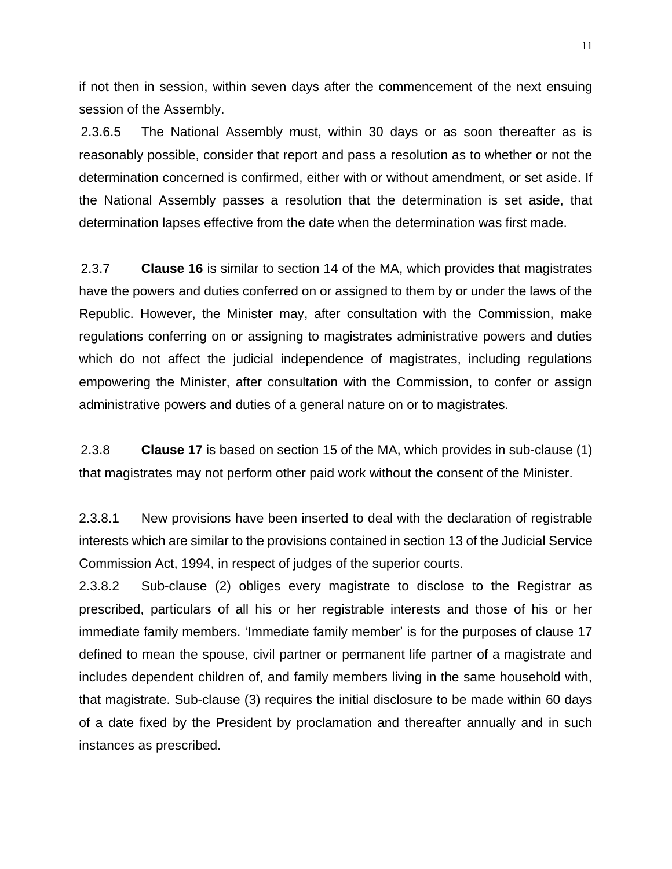if not then in session, within seven days after the commencement of the next ensuing session of the Assembly.

2.3.6.5 The National Assembly must, within 30 days or as soon thereafter as is reasonably possible, consider that report and pass a resolution as to whether or not the determination concerned is confirmed, either with or without amendment, or set aside. If the National Assembly passes a resolution that the determination is set aside, that determination lapses effective from the date when the determination was first made.

2.3.7 **Clause 16** is similar to section 14 of the MA, which provides that magistrates have the powers and duties conferred on or assigned to them by or under the laws of the Republic. However, the Minister may, after consultation with the Commission, make regulations conferring on or assigning to magistrates administrative powers and duties which do not affect the judicial independence of magistrates, including regulations empowering the Minister, after consultation with the Commission, to confer or assign administrative powers and duties of a general nature on or to magistrates.

2.3.8 **Clause 17** is based on section 15 of the MA, which provides in sub-clause (1) that magistrates may not perform other paid work without the consent of the Minister.

2.3.8.1 New provisions have been inserted to deal with the declaration of registrable interests which are similar to the provisions contained in section 13 of the Judicial Service Commission Act, 1994, in respect of judges of the superior courts.

2.3.8.2 Sub-clause (2) obliges every magistrate to disclose to the Registrar as prescribed, particulars of all his or her registrable interests and those of his or her immediate family members. 'Immediate family member' is for the purposes of clause 17 defined to mean the spouse, civil partner or permanent life partner of a magistrate and includes dependent children of, and family members living in the same household with, that magistrate. Sub-clause (3) requires the initial disclosure to be made within 60 days of a date fixed by the President by proclamation and thereafter annually and in such instances as prescribed.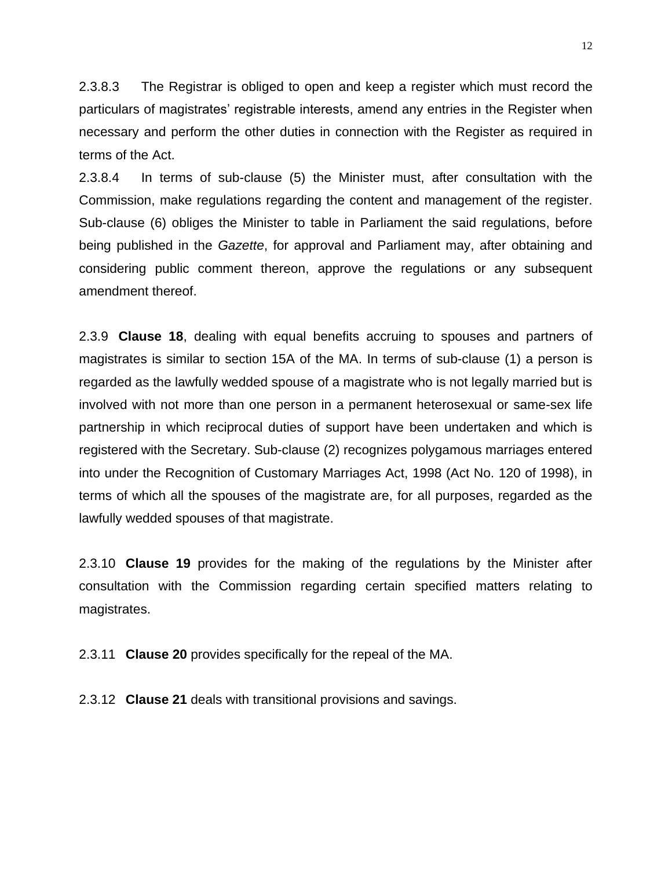2.3.8.3 The Registrar is obliged to open and keep a register which must record the particulars of magistrates' registrable interests, amend any entries in the Register when necessary and perform the other duties in connection with the Register as required in terms of the Act.

2.3.8.4 In terms of sub-clause (5) the Minister must, after consultation with the Commission, make regulations regarding the content and management of the register. Sub-clause (6) obliges the Minister to table in Parliament the said regulations, before being published in the *Gazette*, for approval and Parliament may, after obtaining and considering public comment thereon, approve the regulations or any subsequent amendment thereof.

2.3.9 **Clause 18**, dealing with equal benefits accruing to spouses and partners of magistrates is similar to section 15A of the MA. In terms of sub-clause (1) a person is regarded as the lawfully wedded spouse of a magistrate who is not legally married but is involved with not more than one person in a permanent heterosexual or same-sex life partnership in which reciprocal duties of support have been undertaken and which is registered with the Secretary. Sub-clause (2) recognizes polygamous marriages entered into under the Recognition of Customary Marriages Act, 1998 (Act No. 120 of 1998), in terms of which all the spouses of the magistrate are, for all purposes, regarded as the lawfully wedded spouses of that magistrate.

2.3.10 **Clause 19** provides for the making of the regulations by the Minister after consultation with the Commission regarding certain specified matters relating to magistrates.

2.3.11 **Clause 20** provides specifically for the repeal of the MA.

2.3.12 **Clause 21** deals with transitional provisions and savings.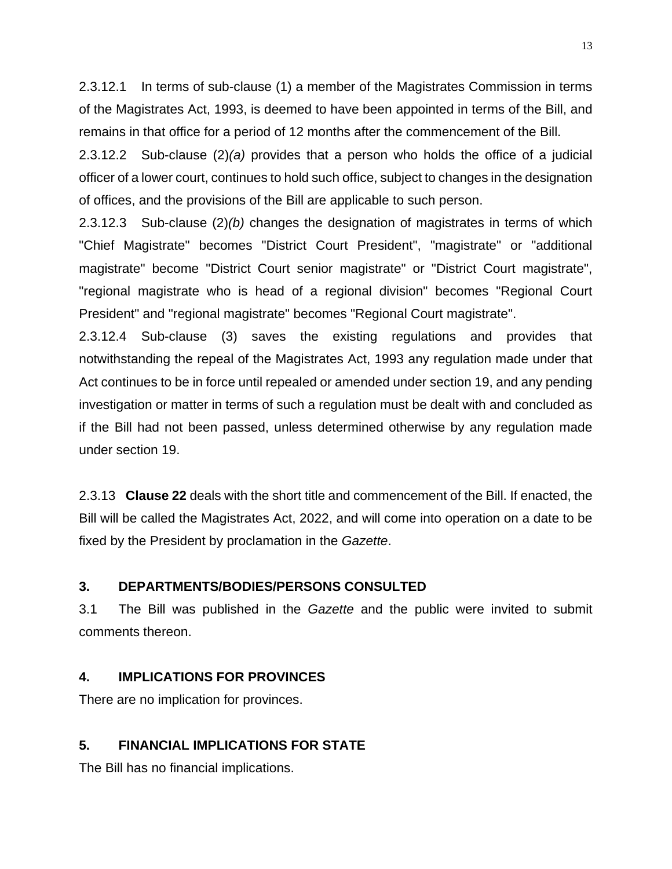2.3.12.1 In terms of sub-clause (1) a member of the Magistrates Commission in terms of the Magistrates Act, 1993, is deemed to have been appointed in terms of the Bill, and remains in that office for a period of 12 months after the commencement of the Bill.

2.3.12.2 Sub-clause (2)*(a)* provides that a person who holds the office of a judicial officer of a lower court, continues to hold such office, subject to changes in the designation of offices, and the provisions of the Bill are applicable to such person.

2.3.12.3 Sub-clause (2)*(b)* changes the designation of magistrates in terms of which "Chief Magistrate" becomes "District Court President", "magistrate" or "additional magistrate" become "District Court senior magistrate" or "District Court magistrate", "regional magistrate who is head of a regional division" becomes "Regional Court President" and "regional magistrate" becomes "Regional Court magistrate".

2.3.12.4 Sub-clause (3) saves the existing regulations and provides that notwithstanding the repeal of the Magistrates Act, 1993 any regulation made under that Act continues to be in force until repealed or amended under section 19, and any pending investigation or matter in terms of such a regulation must be dealt with and concluded as if the Bill had not been passed, unless determined otherwise by any regulation made under section 19.

2.3.13 **Clause 22** deals with the short title and commencement of the Bill. If enacted, the Bill will be called the Magistrates Act, 2022, and will come into operation on a date to be fixed by the President by proclamation in the *Gazette*.

### **3. DEPARTMENTS/BODIES/PERSONS CONSULTED**

3.1 The Bill was published in the *Gazette* and the public were invited to submit comments thereon.

# **4. IMPLICATIONS FOR PROVINCES**

There are no implication for provinces.

# **5. FINANCIAL IMPLICATIONS FOR STATE**

The Bill has no financial implications.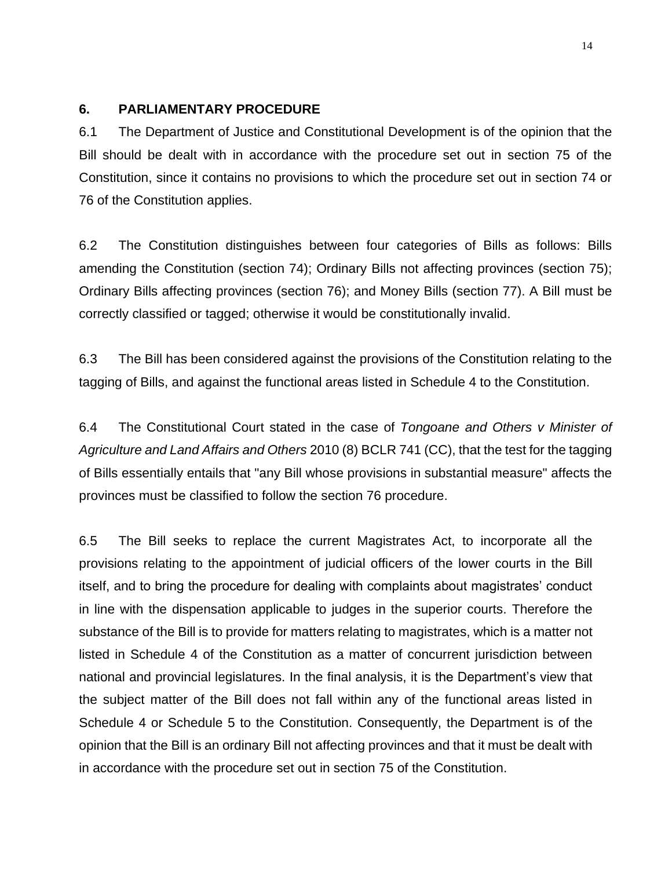### **6. PARLIAMENTARY PROCEDURE**

6.1 The Department of Justice and Constitutional Development is of the opinion that the Bill should be dealt with in accordance with the procedure set out in section 75 of the Constitution, since it contains no provisions to which the procedure set out in section 74 or 76 of the Constitution applies.

6.2 The Constitution distinguishes between four categories of Bills as follows: Bills amending the Constitution (section 74); Ordinary Bills not affecting provinces (section 75); Ordinary Bills affecting provinces (section 76); and Money Bills (section 77). A Bill must be correctly classified or tagged; otherwise it would be constitutionally invalid.

6.3 The Bill has been considered against the provisions of the Constitution relating to the tagging of Bills, and against the functional areas listed in Schedule 4 to the Constitution.

6.4 The Constitutional Court stated in the case of *Tongoane and Others v Minister of Agriculture and Land Affairs and Others* 2010 (8) BCLR 741 (CC), that the test for the tagging of Bills essentially entails that "any Bill whose provisions in substantial measure" affects the provinces must be classified to follow the section 76 procedure.

6.5 The Bill seeks to replace the current Magistrates Act, to incorporate all the provisions relating to the appointment of judicial officers of the lower courts in the Bill itself, and to bring the procedure for dealing with complaints about magistrates' conduct in line with the dispensation applicable to judges in the superior courts. Therefore the substance of the Bill is to provide for matters relating to magistrates, which is a matter not listed in Schedule 4 of the Constitution as a matter of concurrent jurisdiction between national and provincial legislatures. In the final analysis, it is the Department's view that the subject matter of the Bill does not fall within any of the functional areas listed in Schedule 4 or Schedule 5 to the Constitution. Consequently, the Department is of the opinion that the Bill is an ordinary Bill not affecting provinces and that it must be dealt with in accordance with the procedure set out in section 75 of the Constitution.